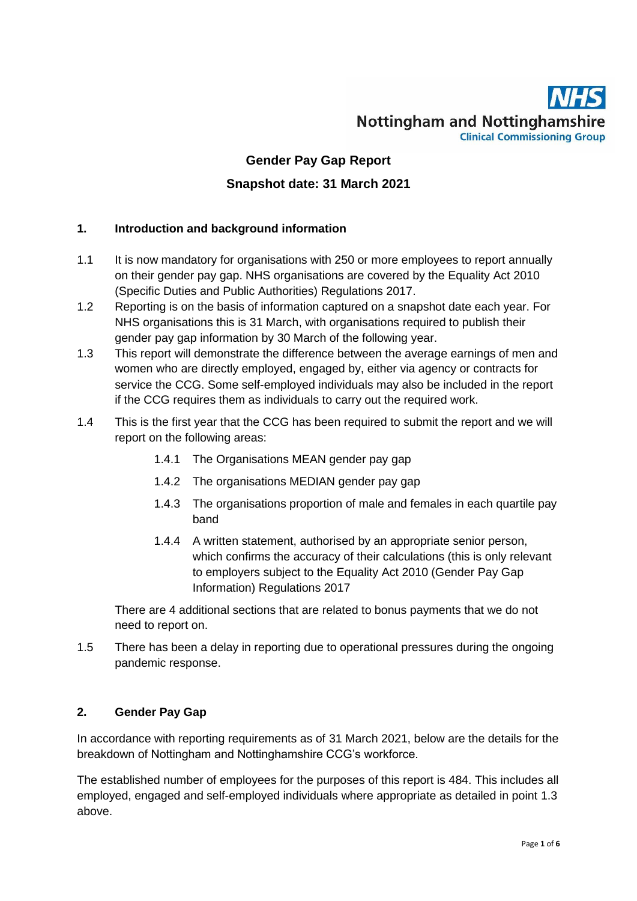# **Nottingham and Nottinghamshire Clinical Commissioning Group**

# **Gender Pay Gap Report Snapshot date: 31 March 2021**

### **1. Introduction and background information**

- 1.1 It is now mandatory for organisations with 250 or more employees to report annually on their gender pay gap. NHS organisations are covered by the Equality Act 2010 (Specific Duties and Public Authorities) Regulations 2017.
- 1.2 Reporting is on the basis of information captured on a snapshot date each year. For NHS organisations this is 31 March, with organisations required to publish their gender pay gap information by 30 March of the following year.
- 1.3 This report will demonstrate the difference between the average earnings of men and women who are directly employed, engaged by, either via agency or contracts for service the CCG. Some self-employed individuals may also be included in the report if the CCG requires them as individuals to carry out the required work.
- 1.4 This is the first year that the CCG has been required to submit the report and we will report on the following areas:
	- 1.4.1 The Organisations MEAN gender pay gap
	- 1.4.2 The organisations MEDIAN gender pay gap
	- 1.4.3 The organisations proportion of male and females in each quartile pay band
	- 1.4.4 A written statement, authorised by an appropriate senior person, which confirms the accuracy of their calculations (this is only relevant to employers subject to the Equality Act 2010 (Gender Pay Gap Information) Regulations 2017

There are 4 additional sections that are related to bonus payments that we do not need to report on.

1.5 There has been a delay in reporting due to operational pressures during the ongoing pandemic response.

## **2. Gender Pay Gap**

In accordance with reporting requirements as of 31 March 2021, below are the details for the breakdown of Nottingham and Nottinghamshire CCG's workforce.

The established number of employees for the purposes of this report is 484. This includes all employed, engaged and self-employed individuals where appropriate as detailed in point 1.3 above.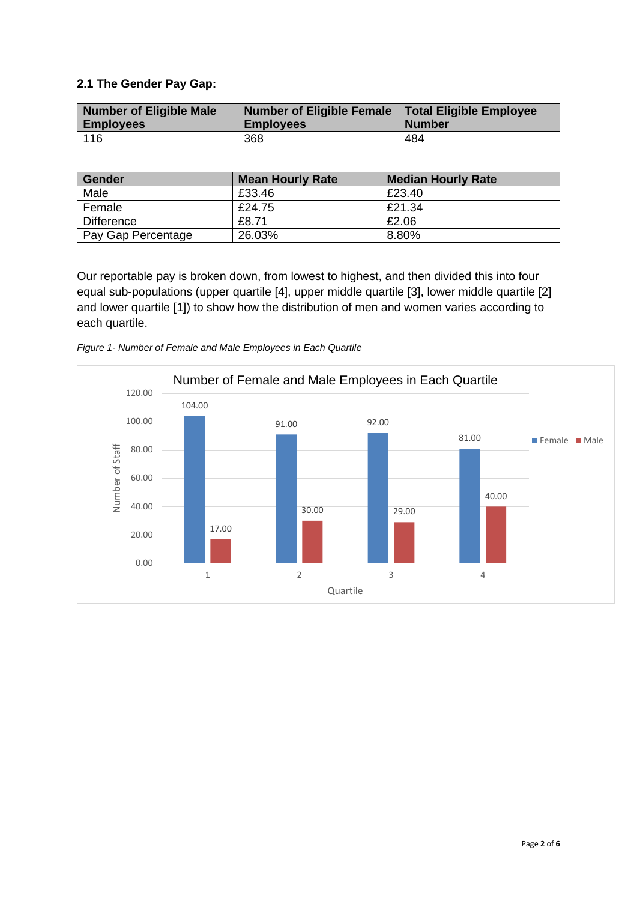#### **2.1 The Gender Pay Gap:**

| Number of Eligible Male | Number of Eligible Female | Total Eligible Employee |
|-------------------------|---------------------------|-------------------------|
| <b>Employees</b>        | <b>Employees</b>          | <b>Number</b>           |
| 116                     | 368                       | 484                     |

| Gender             | <b>Mean Hourly Rate</b> | <b>Median Hourly Rate</b> |
|--------------------|-------------------------|---------------------------|
| Male               | £33.46                  | £23.40                    |
| Female             | £24.75                  | £21.34                    |
| <b>Difference</b>  | £8.71                   | £2.06                     |
| Pay Gap Percentage | 26.03%                  | $8.80\%$                  |

Our reportable pay is broken down, from lowest to highest, and then divided this into four equal sub-populations (upper quartile [4], upper middle quartile [3], lower middle quartile [2] and lower quartile [1]) to show how the distribution of men and women varies according to each quartile.



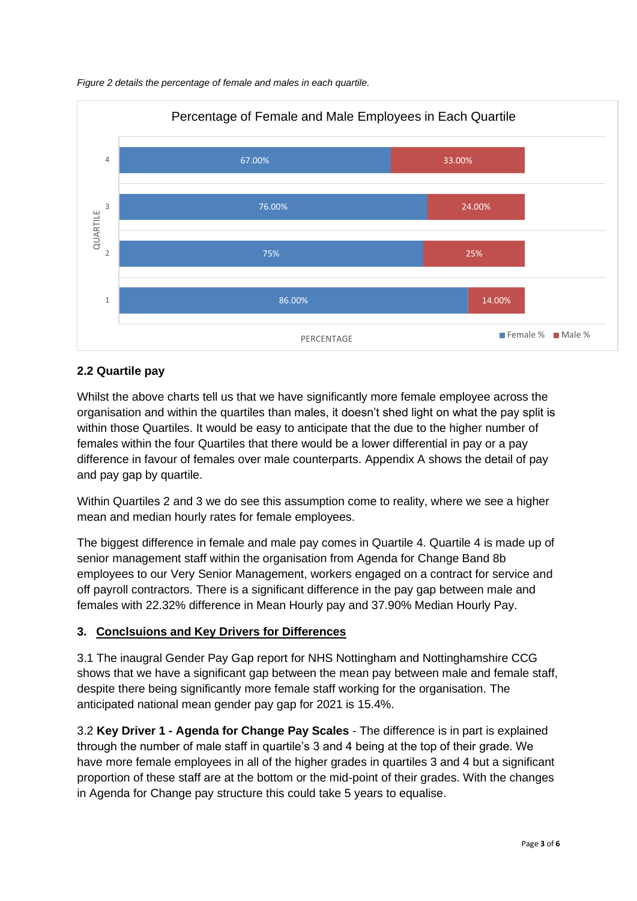



#### **2.2 Quartile pay**

Whilst the above charts tell us that we have significantly more female employee across the organisation and within the quartiles than males, it doesn't shed light on what the pay split is within those Quartiles. It would be easy to anticipate that the due to the higher number of females within the four Quartiles that there would be a lower differential in pay or a pay difference in favour of females over male counterparts. Appendix A shows the detail of pay and pay gap by quartile.

Within Quartiles 2 and 3 we do see this assumption come to reality, where we see a higher mean and median hourly rates for female employees.

The biggest difference in female and male pay comes in Quartile 4. Quartile 4 is made up of senior management staff within the organisation from Agenda for Change Band 8b employees to our Very Senior Management, workers engaged on a contract for service and off payroll contractors. There is a significant difference in the pay gap between male and females with 22.32% difference in Mean Hourly pay and 37.90% Median Hourly Pay.

#### **3. Conclsuions and Key Drivers for Differences**

3.1 The inaugral Gender Pay Gap report for NHS Nottingham and Nottinghamshire CCG shows that we have a significant gap between the mean pay between male and female staff. despite there being significantly more female staff working for the organisation. The anticipated national mean gender pay gap for 2021 is 15.4%.

3.2 **Key Driver 1 - Agenda for Change Pay Scales** - The difference is in part is explained through the number of male staff in quartile's 3 and 4 being at the top of their grade. We have more female employees in all of the higher grades in quartiles 3 and 4 but a significant proportion of these staff are at the bottom or the mid-point of their grades. With the changes in Agenda for Change pay structure this could take 5 years to equalise.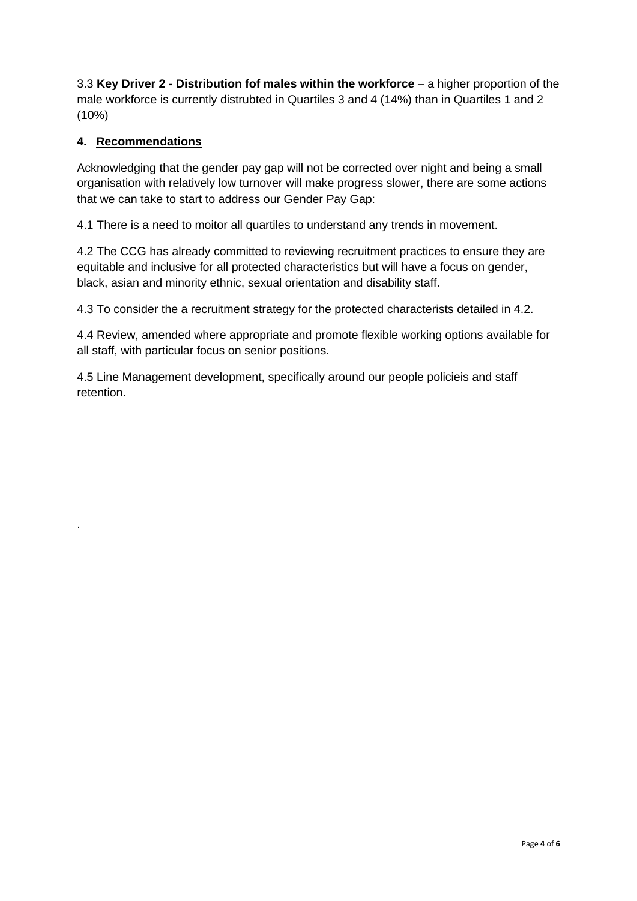3.3 **Key Driver 2 - Distribution fof males within the workforce** – a higher proportion of the male workforce is currently distrubted in Quartiles 3 and 4 (14%) than in Quartiles 1 and 2 (10%)

## **4. Recommendations**

.

Acknowledging that the gender pay gap will not be corrected over night and being a small organisation with relatively low turnover will make progress slower, there are some actions that we can take to start to address our Gender Pay Gap:

4.1 There is a need to moitor all quartiles to understand any trends in movement.

4.2 The CCG has already committed to reviewing recruitment practices to ensure they are equitable and inclusive for all protected characteristics but will have a focus on gender, black, asian and minority ethnic, sexual orientation and disability staff.

4.3 To consider the a recruitment strategy for the protected characterists detailed in 4.2.

4.4 Review, amended where appropriate and promote flexible working options available for all staff, with particular focus on senior positions.

4.5 Line Management development, specifically around our people policieis and staff retention.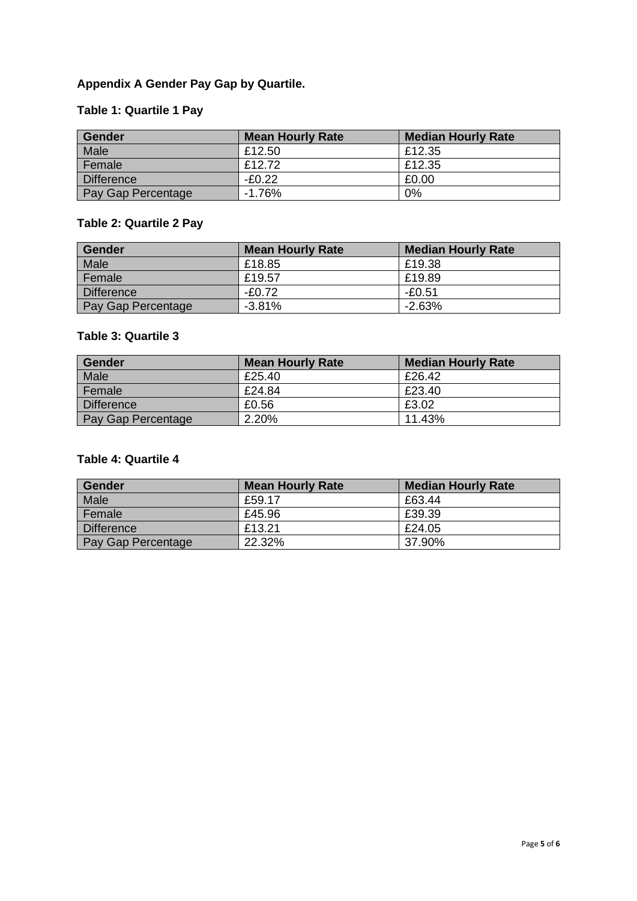# **Appendix A Gender Pay Gap by Quartile.**

## **Table 1: Quartile 1 Pay**

| <b>Gender</b>      | <b>Mean Hourly Rate</b> | <b>Median Hourly Rate</b> |
|--------------------|-------------------------|---------------------------|
| Male               | £12.50                  | £12.35                    |
| Female             | £12.72                  | £12.35                    |
| Difference         | $-F0.22$                | £0.00                     |
| Pay Gap Percentage | $-1.76%$                | 0%                        |

# **Table 2: Quartile 2 Pay**

| Gender             | <b>Mean Hourly Rate</b> | <b>Median Hourly Rate</b> |
|--------------------|-------------------------|---------------------------|
| Male               | £18.85                  | £19.38                    |
| Female             | £19.57                  | £19.89                    |
| Difference         | $-F0.72$                | -£0.51                    |
| Pay Gap Percentage | $-3.81\%$               | $-2.63%$                  |

## **Table 3: Quartile 3**

| Gender             | <b>Mean Hourly Rate</b> | <b>Median Hourly Rate</b> |
|--------------------|-------------------------|---------------------------|
| Male               | £25.40                  | £26.42                    |
| Female             | £24.84                  | £23.40                    |
| Difference         | £0.56                   | £3.02                     |
| Pay Gap Percentage | 2.20%                   | 11.43%                    |

## **Table 4: Quartile 4**

| Gender             | <b>Mean Hourly Rate</b> | <b>Median Hourly Rate</b> |
|--------------------|-------------------------|---------------------------|
| Male               | £59.17                  | £63.44                    |
| Female             | £45.96                  | £39.39                    |
| <b>Difference</b>  | £13.21                  | £24.05                    |
| Pay Gap Percentage | 22.32%                  | 37.90%                    |